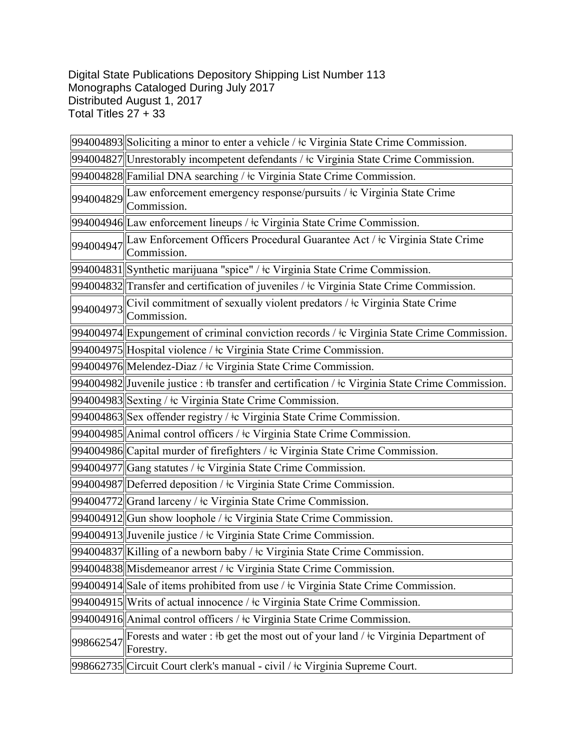Digital State Publications Depository Shipping List Number 113 Monographs Cataloged During July 2017 Distributed August 1, 2017 Total Titles 27 + 33

|           | 994004893 Soliciting a minor to enter a vehicle / ‡c Virginia State Crime Commission.                 |
|-----------|-------------------------------------------------------------------------------------------------------|
|           | 994004827 Unrestorably incompetent defendants / tc Virginia State Crime Commission.                   |
|           | 994004828 Familial DNA searching / ‡c Virginia State Crime Commission.                                |
|           | 994004829 Law enforcement emergency response/pursuits / ‡c Virginia State Crime<br>Commission.        |
|           | 994004946 Law enforcement lineups / ‡c Virginia State Crime Commission.                               |
|           | 994004947 Law Enforcement Officers Procedural Guarantee Act / ‡c Virginia State Crime<br>Commission.  |
|           | 994004831 Synthetic marijuana "spice" / ‡c Virginia State Crime Commission.                           |
|           | $994004832$ Transfer and certification of juveniles / $\pm$ Virginia State Crime Commission.          |
| 994004973 | Civil commitment of sexually violent predators / ‡c Virginia State Crime<br>Commission.               |
|           | 994004974 Expungement of criminal conviction records / ‡c Virginia State Crime Commission.            |
|           | 994004975 Hospital violence / ‡c Virginia State Crime Commission.                                     |
|           | 994004976 Melendez-Diaz / ‡c Virginia State Crime Commission.                                         |
|           | 994004982 Juvenile justice : #b transfer and certification / $\pm$ c Virginia State Crime Commission. |
|           | 994004983 Sexting / ‡c Virginia State Crime Commission.                                               |
|           | 994004863 Sex offender registry / ‡c Virginia State Crime Commission.                                 |
|           | 994004985 Animal control officers / ‡c Virginia State Crime Commission.                               |
|           | 994004986 Capital murder of firefighters / ‡c Virginia State Crime Commission.                        |
|           | 994004977 Gang statutes / ‡c Virginia State Crime Commission.                                         |
|           | 994004987 Deferred deposition / ‡c Virginia State Crime Commission.                                   |
|           | 994004772 Grand larceny / ‡c Virginia State Crime Commission.                                         |
|           | 994004912 Gun show loophole / $\pm$ Virginia State Crime Commission.                                  |
|           | 994004913 Juvenile justice / ‡c Virginia State Crime Commission.                                      |
|           | 994004837 Killing of a newborn baby / ‡c Virginia State Crime Commission.                             |
|           | 994004838 Misdemeanor arrest / ‡c Virginia State Crime Commission.                                    |
|           | 994004914 Sale of items prohibited from use / ‡c Virginia State Crime Commission.                     |
|           | 994004915 Writs of actual innocence / ‡c Virginia State Crime Commission.                             |
|           | 994004916 Animal control officers / ‡c Virginia State Crime Commission.                               |
| 998662547 | Forests and water: #b get the most out of your land / #c Virginia Department of<br>Forestry.          |
|           | 998662735 Circuit Court clerk's manual - civil / ‡c Virginia Supreme Court.                           |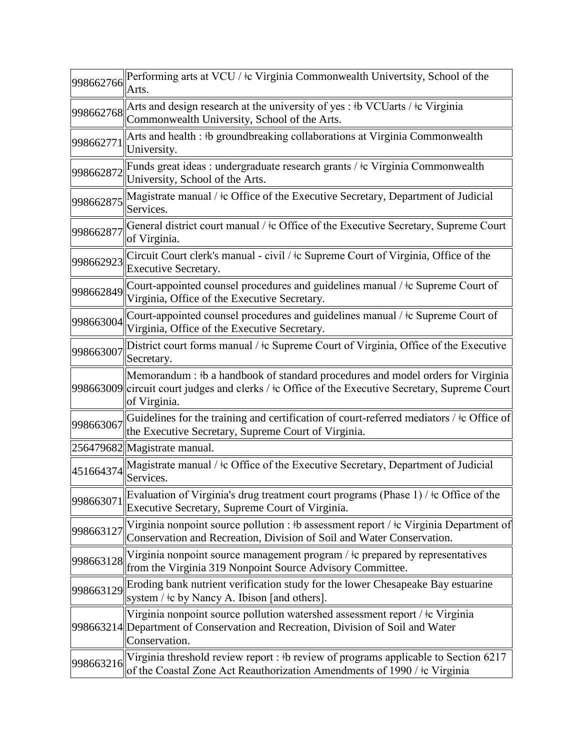| 998662766 | Performing arts at VCU / ‡c Virginia Commonwealth Univertsity, School of the<br>Arts.                                                                                                              |
|-----------|----------------------------------------------------------------------------------------------------------------------------------------------------------------------------------------------------|
| 998662768 | Arts and design research at the university of yes: #b VCUarts / $\pm$ c Virginia<br>Commonwealth University, School of the Arts.                                                                   |
| 998662771 | Arts and health : #b groundbreaking collaborations at Virginia Commonwealth<br>University.                                                                                                         |
| 998662872 | Funds great ideas : undergraduate research grants / ‡c Virginia Commonwealth<br>University, School of the Arts.                                                                                    |
| 998662875 | Magistrate manual / $\pm c$ Office of the Executive Secretary, Department of Judicial<br>Services.                                                                                                 |
| 998662877 | General district court manual / $\pm c$ Office of the Executive Secretary, Supreme Court<br>of Virginia.                                                                                           |
| 998662923 | Circuit Court clerk's manual - civil / $\pm c$ Supreme Court of Virginia, Office of the<br><b>Executive Secretary.</b>                                                                             |
| 998662849 | Court-appointed counsel procedures and guidelines manual / $\pm c$ Supreme Court of<br>Virginia, Office of the Executive Secretary.                                                                |
| 998663004 | Court-appointed counsel procedures and guidelines manual / $\pm$ c Supreme Court of<br>Virginia, Office of the Executive Secretary.                                                                |
| 998663007 | District court forms manual / $\pm$ c Supreme Court of Virginia, Office of the Executive<br>Secretary.                                                                                             |
|           | Memorandum : #b a handbook of standard procedures and model orders for Virginia<br>998663009 circuit court judges and clerks / ‡c Office of the Executive Secretary, Supreme Court<br>of Virginia. |
| 998663067 | Guidelines for the training and certification of court-referred mediators / $\pm c$ Office of<br>the Executive Secretary, Supreme Court of Virginia.                                               |
|           | 256479682 Magistrate manual.                                                                                                                                                                       |
| 451664374 | Magistrate manual / ‡c Office of the Executive Secretary, Department of Judicial<br>Services.                                                                                                      |
| 998663071 | Evaluation of Virginia's drug treatment court programs (Phase 1) / $\pm$ c Office of the<br>Executive Secretary, Supreme Court of Virginia.                                                        |
| 998663127 | Virginia nonpoint source pollution : #b assessment report / $\pm c$ Virginia Department of<br>Conservation and Recreation, Division of Soil and Water Conservation.                                |
| 998663128 | Virginia nonpoint source management program $/$ $\pm$ c prepared by representatives<br>from the Virginia 319 Nonpoint Source Advisory Committee.                                                   |
| 998663129 | Eroding bank nutrient verification study for the lower Chesapeake Bay estuarine<br>system / $\pm c$ by Nancy A. Ibison [and others].                                                               |
|           | Virginia nonpoint source pollution watershed assessment report / $\pm c$ Virginia<br>998663214 Department of Conservation and Recreation, Division of Soil and Water<br>Conservation.              |
| 998663216 | Virginia threshold review report : #b review of programs applicable to Section 6217<br>of the Coastal Zone Act Reauthorization Amendments of 1990 / ‡c Virginia                                    |